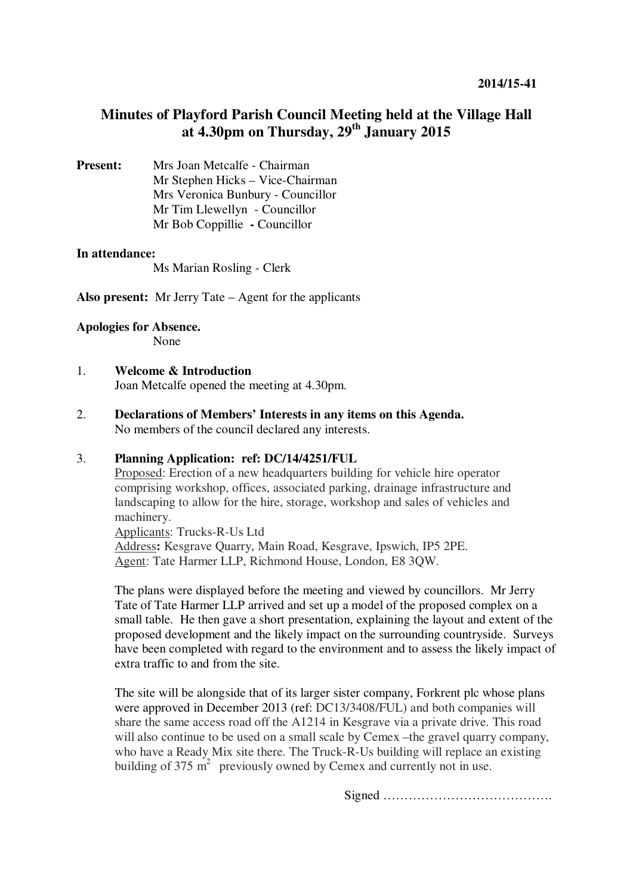# **Minutes of Playford Parish Council Meeting held at the Village Hall at 4.30pm on Thursday, 29th January 2015**

**Present:** Mrs Joan Metcalfe - Chairman Mr Stephen Hicks – Vice-Chairman Mrs Veronica Bunbury - Councillor Mr Tim Llewellyn- Councillor Mr Bob Coppillie **-** Councillor

#### **In attendance:**

Ms Marian Rosling - Clerk

**Also present:** Mr Jerry Tate – Agent for the applicants

#### **Apologies for Absence.**

None

# 1. **Welcome & Introduction**

Joan Metcalfe opened the meeting at 4.30pm.

2. **Declarations of Members' Interests in any items on this Agenda.**  No members of the council declared any interests.

## 3. **Planning Application: ref: DC/14/4251/FUL**

Proposed: Erection of a new headquarters building for vehicle hire operator comprising workshop, offices, associated parking, drainage infrastructure and landscaping to allow for the hire, storage, workshop and sales of vehicles and machinery.

Applicants: Trucks-R-Us Ltd Address**:** Kesgrave Quarry, Main Road, Kesgrave, Ipswich, IP5 2PE. Agent: Tate Harmer LLP, Richmond House, London, E8 3QW.

The plans were displayed before the meeting and viewed by councillors. Mr Jerry Tate of Tate Harmer LLP arrived and set up a model of the proposed complex on a small table. He then gave a short presentation, explaining the layout and extent of the proposed development and the likely impact on the surrounding countryside. Surveys have been completed with regard to the environment and to assess the likely impact of extra traffic to and from the site.

The site will be alongside that of its larger sister company, Forkrent plc whose plans were approved in December 2013 (ref: DC13/3408/FUL) and both companies will share the same access road off the A1214 in Kesgrave via a private drive. This road will also continue to be used on a small scale by Cemex –the gravel quarry company, who have a Ready Mix site there. The Truck-R-Us building will replace an existing building of  $375 \text{ m}^2$  previously owned by Cemex and currently not in use.

Signed ………………………………….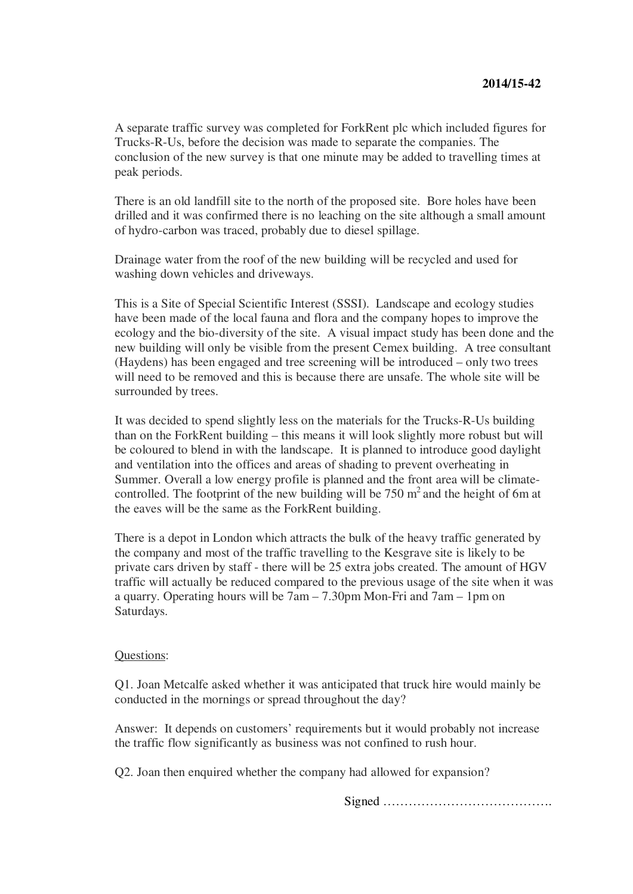A separate traffic survey was completed for ForkRent plc which included figures for Trucks-R-Us, before the decision was made to separate the companies. The conclusion of the new survey is that one minute may be added to travelling times at peak periods.

There is an old landfill site to the north of the proposed site. Bore holes have been drilled and it was confirmed there is no leaching on the site although a small amount of hydro-carbon was traced, probably due to diesel spillage.

Drainage water from the roof of the new building will be recycled and used for washing down vehicles and driveways.

This is a Site of Special Scientific Interest (SSSI). Landscape and ecology studies have been made of the local fauna and flora and the company hopes to improve the ecology and the bio-diversity of the site. A visual impact study has been done and the new building will only be visible from the present Cemex building. A tree consultant (Haydens) has been engaged and tree screening will be introduced – only two trees will need to be removed and this is because there are unsafe. The whole site will be surrounded by trees.

It was decided to spend slightly less on the materials for the Trucks-R-Us building than on the ForkRent building – this means it will look slightly more robust but will be coloured to blend in with the landscape. It is planned to introduce good daylight and ventilation into the offices and areas of shading to prevent overheating in Summer. Overall a low energy profile is planned and the front area will be climatecontrolled. The footprint of the new building will be  $750 \text{ m}^2$  and the height of 6m at the eaves will be the same as the ForkRent building.

There is a depot in London which attracts the bulk of the heavy traffic generated by the company and most of the traffic travelling to the Kesgrave site is likely to be private cars driven by staff - there will be 25 extra jobs created. The amount of HGV traffic will actually be reduced compared to the previous usage of the site when it was a quarry. Operating hours will be 7am – 7.30pm Mon-Fri and 7am – 1pm on Saturdays.

#### Questions:

Q1. Joan Metcalfe asked whether it was anticipated that truck hire would mainly be conducted in the mornings or spread throughout the day?

Answer: It depends on customers' requirements but it would probably not increase the traffic flow significantly as business was not confined to rush hour.

Q2. Joan then enquired whether the company had allowed for expansion?

Signed ………………………………….